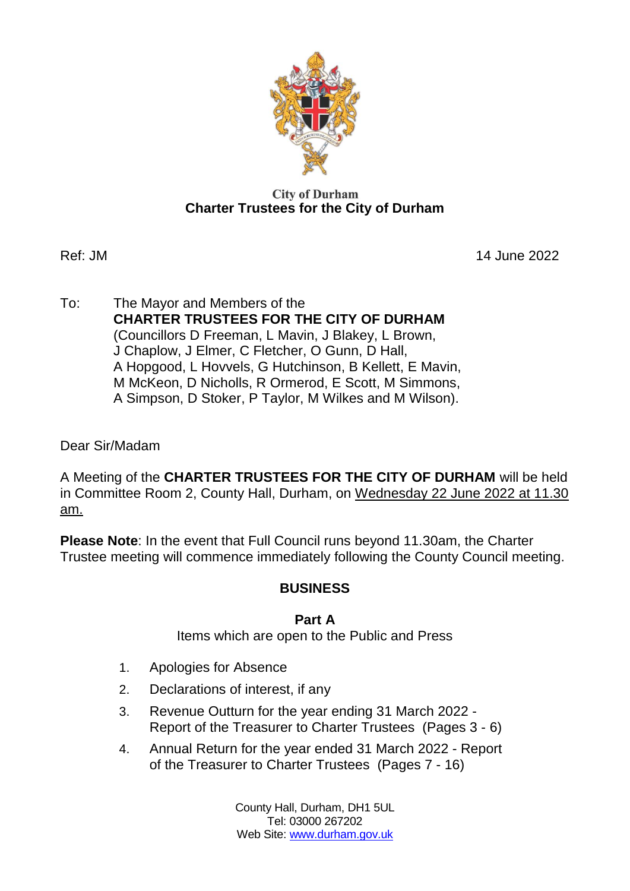

#### **City of Durham Charter Trustees for the City of Durham**

Ref: JM 14 June 2022

To: The Mayor and Members of the **CHARTER TRUSTEES FOR THE CITY OF DURHAM** (Councillors D Freeman, L Mavin, J Blakey, L Brown, J Chaplow, J Elmer, C Fletcher, O Gunn, D Hall, A Hopgood, L Hovvels, G Hutchinson, B Kellett, E Mavin, M McKeon, D Nicholls, R Ormerod, E Scott, M Simmons, A Simpson, D Stoker, P Taylor, M Wilkes and M Wilson).

Dear Sir/Madam

A Meeting of the **CHARTER TRUSTEES FOR THE CITY OF DURHAM** will be held in Committee Room 2, County Hall, Durham, on Wednesday 22 June 2022 at 11.30 am.

**Please Note**: In the event that Full Council runs beyond 11.30am, the Charter Trustee meeting will commence immediately following the County Council meeting.

# **BUSINESS**

## **Part A**

Items which are open to the Public and Press

- 1. Apologies for Absence
- 2. Declarations of interest, if any
- 3. Revenue Outturn for the year ending 31 March 2022 Report of the Treasurer to Charter Trustees(Pages 3 - 6)
- 4. Annual Return for the year ended 31 March 2022 Report of the Treasurer to Charter Trustees(Pages 7 - 16)

County Hall, Durham, DH1 5UL Tel: 03000 267202 Web Site: [www.durham.gov.uk](http://www.durham.gov.uk/)